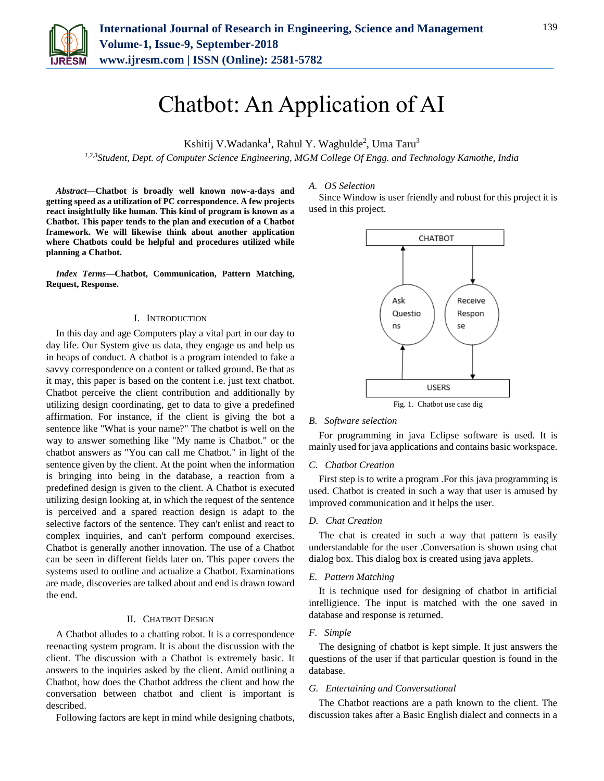

# Chatbot: An Application of AI

Kshitij V.Wadanka<sup>1</sup>, Rahul Y. Waghulde<sup>2</sup>, Uma Taru<sup>3</sup>

*1,2,3Student, Dept. of Computer Science Engineering, MGM College Of Engg. and Technology Kamothe, India*

*Abstract***—Chatbot is broadly well known now-a-days and getting speed as a utilization of PC correspondence. A few projects react insightfully like human. This kind of program is known as a Chatbot. This paper tends to the plan and execution of a Chatbot framework. We will likewise think about another application where Chatbots could be helpful and procedures utilized while planning a Chatbot.**

*Index Terms***—Chatbot, Communication, Pattern Matching, Request, Response.**

#### I. INTRODUCTION

In this day and age Computers play a vital part in our day to day life. Our System give us data, they engage us and help us in heaps of conduct. A chatbot is a program intended to fake a savvy correspondence on a content or talked ground. Be that as it may, this paper is based on the content i.e. just text chatbot. Chatbot perceive the client contribution and additionally by utilizing design coordinating, get to data to give a predefined affirmation. For instance, if the client is giving the bot a sentence like "What is your name?" The chatbot is well on the way to answer something like "My name is Chatbot." or the chatbot answers as "You can call me Chatbot." in light of the sentence given by the client. At the point when the information is bringing into being in the database, a reaction from a predefined design is given to the client. A Chatbot is executed utilizing design looking at, in which the request of the sentence is perceived and a spared reaction design is adapt to the selective factors of the sentence. They can't enlist and react to complex inquiries, and can't perform compound exercises. Chatbot is generally another innovation. The use of a Chatbot can be seen in different fields later on. This paper covers the systems used to outline and actualize a Chatbot. Examinations are made, discoveries are talked about and end is drawn toward the end.

# II. CHATBOT DESIGN

A Chatbot alludes to a chatting robot. It is a correspondence reenacting system program. It is about the discussion with the client. The discussion with a Chatbot is extremely basic. It answers to the inquiries asked by the client. Amid outlining a Chatbot, how does the Chatbot address the client and how the conversation between chatbot and client is important is described.

Following factors are kept in mind while designing chatbots,

*A. OS Selection*

Since Window is user friendly and robust for this project it is used in this project.



#### *B. Software selection*

For programming in java Eclipse software is used. It is mainly used for java applications and contains basic workspace.

# *C. Chatbot Creation*

First step is to write a program .For this java programming is used. Chatbot is created in such a way that user is amused by improved communication and it helps the user.

## *D. Chat Creation*

The chat is created in such a way that pattern is easily understandable for the user .Conversation is shown using chat dialog box. This dialog box is created using java applets.

#### *E. Pattern Matching*

It is technique used for designing of chatbot in artificial intelligience. The input is matched with the one saved in database and response is returned.

# *F. Simple*

The designing of chatbot is kept simple. It just answers the questions of the user if that particular question is found in the database.

#### *G. Entertaining and Conversational*

The Chatbot reactions are a path known to the client. The discussion takes after a Basic English dialect and connects in a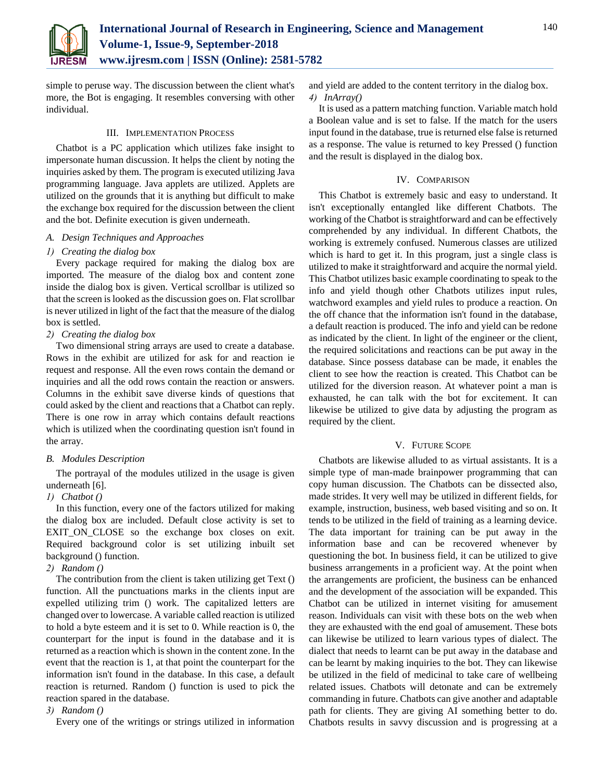

simple to peruse way. The discussion between the client what's more, the Bot is engaging. It resembles conversing with other individual.

# III. IMPLEMENTATION PROCESS

Chatbot is a PC application which utilizes fake insight to impersonate human discussion. It helps the client by noting the inquiries asked by them. The program is executed utilizing Java programming language. Java applets are utilized. Applets are utilized on the grounds that it is anything but difficult to make the exchange box required for the discussion between the client and the bot. Definite execution is given underneath.

# *A. Design Techniques and Approaches*

# *1) Creating the dialog box*

Every package required for making the dialog box are imported. The measure of the dialog box and content zone inside the dialog box is given. Vertical scrollbar is utilized so that the screen is looked as the discussion goes on. Flat scrollbar is never utilized in light of the fact that the measure of the dialog box is settled.

# *2) Creating the dialog box*

Two dimensional string arrays are used to create a database. Rows in the exhibit are utilized for ask for and reaction ie request and response. All the even rows contain the demand or inquiries and all the odd rows contain the reaction or answers. Columns in the exhibit save diverse kinds of questions that could asked by the client and reactions that a Chatbot can reply. There is one row in array which contains default reactions which is utilized when the coordinating question isn't found in the array.

# *B. Modules Description*

The portrayal of the modules utilized in the usage is given underneath [6].

#### *1) Chatbot ()*

In this function, every one of the factors utilized for making the dialog box are included. Default close activity is set to EXIT\_ON\_CLOSE so the exchange box closes on exit. Required background color is set utilizing inbuilt set background () function.

### *2) Random ()*

The contribution from the client is taken utilizing get Text () function. All the punctuations marks in the clients input are expelled utilizing trim () work. The capitalized letters are changed over to lowercase. A variable called reaction is utilized to hold a byte esteem and it is set to 0. While reaction is 0, the counterpart for the input is found in the database and it is returned as a reaction which is shown in the content zone. In the event that the reaction is 1, at that point the counterpart for the information isn't found in the database. In this case, a default reaction is returned. Random () function is used to pick the reaction spared in the database.

# *3) Random ()*

Every one of the writings or strings utilized in information

and yield are added to the content territory in the dialog box. *4) InArray()*

It is used as a pattern matching function. Variable match hold a Boolean value and is set to false. If the match for the users input found in the database, true is returned else false is returned as a response. The value is returned to key Pressed () function and the result is displayed in the dialog box.

## IV. COMPARISON

This Chatbot is extremely basic and easy to understand. It isn't exceptionally entangled like different Chatbots. The working of the Chatbot is straightforward and can be effectively comprehended by any individual. In different Chatbots, the working is extremely confused. Numerous classes are utilized which is hard to get it. In this program, just a single class is utilized to make it straightforward and acquire the normal yield. This Chatbot utilizes basic example coordinating to speak to the info and yield though other Chatbots utilizes input rules, watchword examples and yield rules to produce a reaction. On the off chance that the information isn't found in the database, a default reaction is produced. The info and yield can be redone as indicated by the client. In light of the engineer or the client, the required solicitations and reactions can be put away in the database. Since possess database can be made, it enables the client to see how the reaction is created. This Chatbot can be utilized for the diversion reason. At whatever point a man is exhausted, he can talk with the bot for excitement. It can likewise be utilized to give data by adjusting the program as required by the client.

#### V. FUTURE SCOPE

Chatbots are likewise alluded to as virtual assistants. It is a simple type of man-made brainpower programming that can copy human discussion. The Chatbots can be dissected also, made strides. It very well may be utilized in different fields, for example, instruction, business, web based visiting and so on. It tends to be utilized in the field of training as a learning device. The data important for training can be put away in the information base and can be recovered whenever by questioning the bot. In business field, it can be utilized to give business arrangements in a proficient way. At the point when the arrangements are proficient, the business can be enhanced and the development of the association will be expanded. This Chatbot can be utilized in internet visiting for amusement reason. Individuals can visit with these bots on the web when they are exhausted with the end goal of amusement. These bots can likewise be utilized to learn various types of dialect. The dialect that needs to learnt can be put away in the database and can be learnt by making inquiries to the bot. They can likewise be utilized in the field of medicinal to take care of wellbeing related issues. Chatbots will detonate and can be extremely commanding in future. Chatbots can give another and adaptable path for clients. They are giving AI something better to do. Chatbots results in savvy discussion and is progressing at a